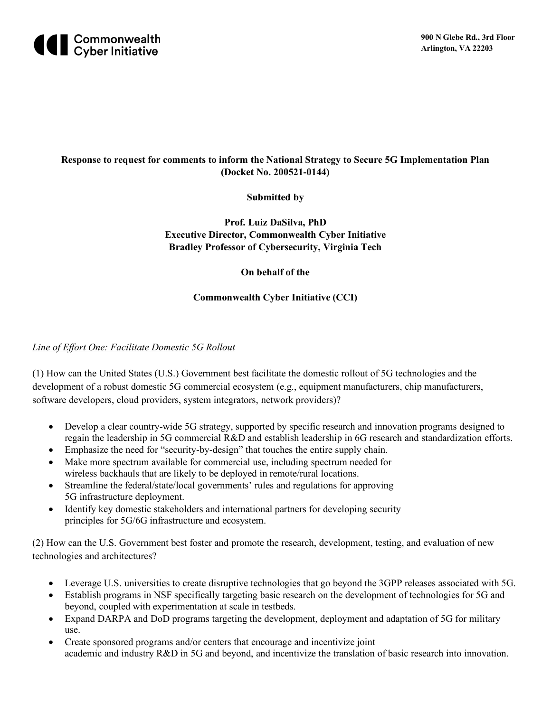

# **Response to request for comments to inform the National Strategy to Secure 5G Implementation Plan (Docket No. 200521-0144)**

## **Submitted by**

**Prof. Luiz DaSilva, PhD Executive Director, Commonwealth Cyber Initiative Bradley Professor of Cybersecurity, Virginia Tech**

**On behalf of the** 

### **Commonwealth Cyber Initiative (CCI)**

#### *Line of Effort One: Facilitate Domestic 5G Rollout*

(1) How can the United States (U.S.) Government best facilitate the domestic rollout of 5G technologies and the development of a robust domestic 5G commercial ecosystem (e.g., equipment manufacturers, chip manufacturers, software developers, cloud providers, system integrators, network providers)?

- Develop a clear country-wide 5G strategy, supported by specific research and innovation programs designed to regain the leadership in 5G commercial R&D and establish leadership in 6G research and standardization efforts.
- Emphasize the need for "security-by-design" that touches the entire supply chain.
- Make more spectrum available for commercial use, including spectrum needed for wireless backhauls that are likely to be deployed in remote/rural locations.
- Streamline the federal/state/local governments' rules and regulations for approving 5G infrastructure deployment.
- Identify key domestic stakeholders and international partners for developing security principles for 5G/6G infrastructure and ecosystem.

(2) How can the U.S. Government best foster and promote the research, development, testing, and evaluation of new technologies and architectures?

- Leverage U.S. universities to create disruptive technologies that go beyond the 3GPP releases associated with 5G.
- Establish programs in NSF specifically targeting basic research on the development of technologies for 5G and beyond, coupled with experimentation at scale in testbeds.
- Expand DARPA and DoD programs targeting the development, deployment and adaptation of 5G for military use.
- Create sponsored programs and/or centers that encourage and incentivize joint academic and industry R&D in 5G and beyond, and incentivize the translation of basic research into innovation.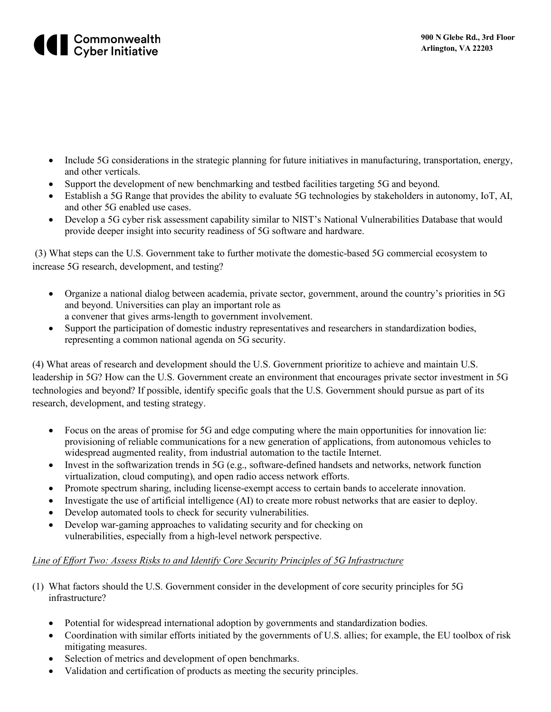

- Include 5G considerations in the strategic planning for future initiatives in manufacturing, transportation, energy, and other verticals.
- Support the development of new benchmarking and testbed facilities targeting 5G and beyond.
- Establish a 5G Range that provides the ability to evaluate 5G technologies by stakeholders in autonomy, IoT, AI, and other 5G enabled use cases.
- Develop a 5G cyber risk assessment capability similar to NIST's National Vulnerabilities Database that would provide deeper insight into security readiness of 5G software and hardware.

(3) What steps can the U.S. Government take to further motivate the domestic-based 5G commercial ecosystem to increase 5G research, development, and testing?

- Organize a national dialog between academia, private sector, government, around the country's priorities in 5G and beyond. Universities can play an important role as a convener that gives arms-length to government involvement.
- Support the participation of domestic industry representatives and researchers in standardization bodies, representing a common national agenda on 5G security.

(4) What areas of research and development should the U.S. Government prioritize to achieve and maintain U.S. leadership in 5G? How can the U.S. Government create an environment that encourages private sector investment in 5G technologies and beyond? If possible, identify specific goals that the U.S. Government should pursue as part of its research, development, and testing strategy.

- Focus on the areas of promise for 5G and edge computing where the main opportunities for innovation lie: provisioning of reliable communications for a new generation of applications, from autonomous vehicles to widespread augmented reality, from industrial automation to the tactile Internet.
- Invest in the softwarization trends in 5G (e.g., software-defined handsets and networks, network function virtualization, cloud computing), and open radio access network efforts.
- Promote spectrum sharing, including license-exempt access to certain bands to accelerate innovation.
- Investigate the use of artificial intelligence (AI) to create more robust networks that are easier to deploy.
- Develop automated tools to check for security vulnerabilities.
- Develop war-gaming approaches to validating security and for checking on vulnerabilities, especially from a high-level network perspective.

## *Line of Effort Two: Assess Risks to and Identify Core Security Principles of 5G Infrastructure*

- (1) What factors should the U.S. Government consider in the development of core security principles for 5G infrastructure?
	- Potential for widespread international adoption by governments and standardization bodies.
	- Coordination with similar efforts initiated by the governments of U.S. allies; for example, the EU toolbox of risk mitigating measures.
	- Selection of metrics and development of open benchmarks.
	- Validation and certification of products as meeting the security principles.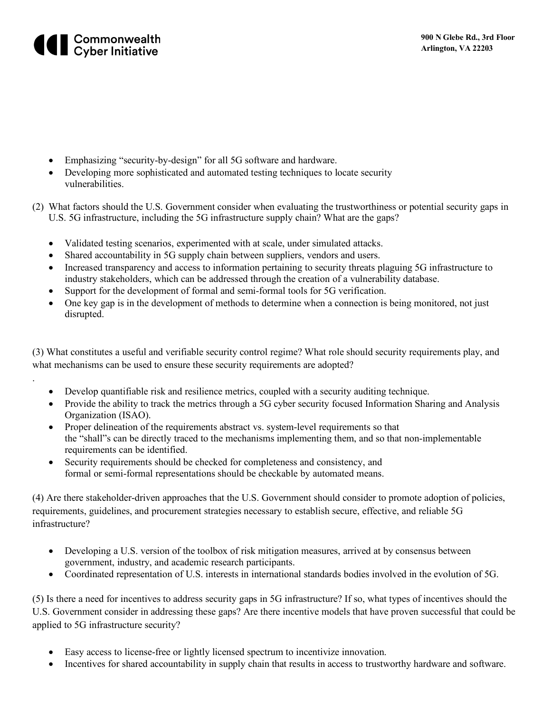

.

- Emphasizing "security-by-design" for all 5G software and hardware.
- Developing more sophisticated and automated testing techniques to locate security vulnerabilities.
- (2) What factors should the U.S. Government consider when evaluating the trustworthiness or potential security gaps in U.S. 5G infrastructure, including the 5G infrastructure supply chain? What are the gaps?
	- Validated testing scenarios, experimented with at scale, under simulated attacks.
	- Shared accountability in 5G supply chain between suppliers, vendors and users.
	- Increased transparency and access to information pertaining to security threats plaguing 5G infrastructure to industry stakeholders, which can be addressed through the creation of a vulnerability database.
	- Support for the development of formal and semi-formal tools for 5G verification.
	- One key gap is in the development of methods to determine when a connection is being monitored, not just disrupted.

(3) What constitutes a useful and verifiable security control regime? What role should security requirements play, and what mechanisms can be used to ensure these security requirements are adopted?

- Develop quantifiable risk and resilience metrics, coupled with a security auditing technique.
- Provide the ability to track the metrics through a 5G cyber security focused Information Sharing and Analysis Organization (ISAO).
- Proper delineation of the requirements abstract vs. system-level requirements so that the "shall"s can be directly traced to the mechanisms implementing them, and so that non-implementable requirements can be identified.
- Security requirements should be checked for completeness and consistency, and formal or semi-formal representations should be checkable by automated means.

(4) Are there stakeholder-driven approaches that the U.S. Government should consider to promote adoption of policies, requirements, guidelines, and procurement strategies necessary to establish secure, effective, and reliable 5G infrastructure?

- Developing a U.S. version of the toolbox of risk mitigation measures, arrived at by consensus between government, industry, and academic research participants.
- Coordinated representation of U.S. interests in international standards bodies involved in the evolution of 5G.

(5) Is there a need for incentives to address security gaps in 5G infrastructure? If so, what types of incentives should the U.S. Government consider in addressing these gaps? Are there incentive models that have proven successful that could be applied to 5G infrastructure security?

- Easy access to license-free or lightly licensed spectrum to incentivize innovation.
- Incentives for shared accountability in supply chain that results in access to trustworthy hardware and software.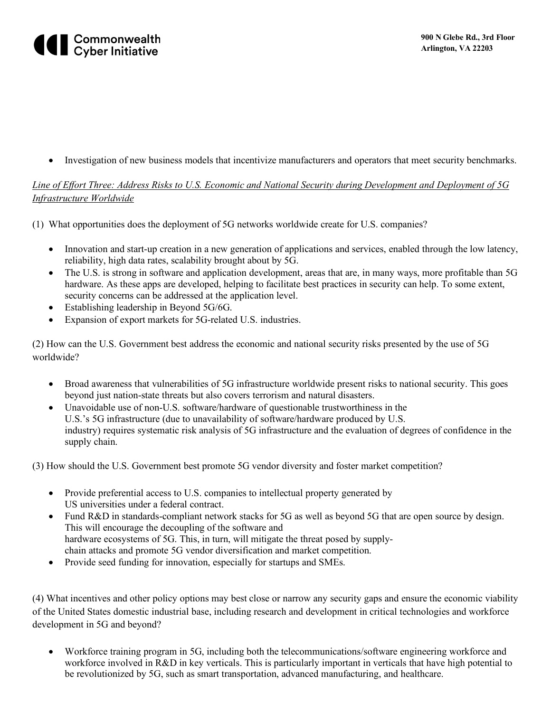# **All Commonwealth**<br> **Cyber Initiative**

• Investigation of new business models that incentivize manufacturers and operators that meet security benchmarks.

# *Line of Effort Three: Address Risks to U.S. Economic and National Security during Development and Deployment of 5G Infrastructure Worldwide*

- (1) What opportunities does the deployment of 5G networks worldwide create for U.S. companies?
	- Innovation and start-up creation in a new generation of applications and services, enabled through the low latency, reliability, high data rates, scalability brought about by 5G.
	- The U.S. is strong in software and application development, areas that are, in many ways, more profitable than 5G hardware. As these apps are developed, helping to facilitate best practices in security can help. To some extent, security concerns can be addressed at the application level.
	- Establishing leadership in Beyond 5G/6G.
	- Expansion of export markets for 5G-related U.S. industries.

(2) How can the U.S. Government best address the economic and national security risks presented by the use of 5G worldwide?

- Broad awareness that vulnerabilities of 5G infrastructure worldwide present risks to national security. This goes beyond just nation-state threats but also covers terrorism and natural disasters.
- Unavoidable use of non-U.S. software/hardware of questionable trustworthiness in the U.S.'s 5G infrastructure (due to unavailability of software/hardware produced by U.S. industry) requires systematic risk analysis of 5G infrastructure and the evaluation of degrees of confidence in the supply chain.

(3) How should the U.S. Government best promote 5G vendor diversity and foster market competition?

- Provide preferential access to U.S. companies to intellectual property generated by US universities under a federal contract.
- Fund R&D in standards-compliant network stacks for 5G as well as beyond 5G that are open source by design. This will encourage the decoupling of the software and hardware ecosystems of 5G. This, in turn, will mitigate the threat posed by supplychain attacks and promote 5G vendor diversification and market competition.
- Provide seed funding for innovation, especially for startups and SMEs.

(4) What incentives and other policy options may best close or narrow any security gaps and ensure the economic viability of the United States domestic industrial base, including research and development in critical technologies and workforce development in 5G and beyond?

• Workforce training program in 5G, including both the telecommunications/software engineering workforce and workforce involved in R&D in key verticals. This is particularly important in verticals that have high potential to be revolutionized by 5G, such as smart transportation, advanced manufacturing, and healthcare.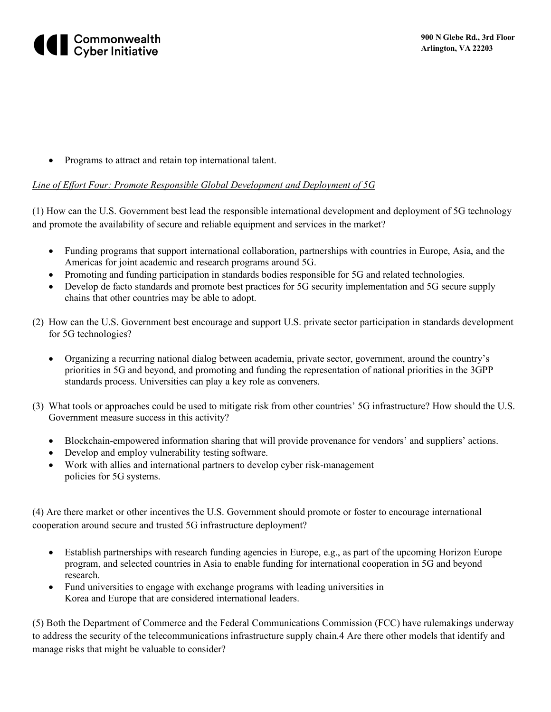

• Programs to attract and retain top international talent.

#### *Line of Effort Four: Promote Responsible Global Development and Deployment of 5G*

(1) How can the U.S. Government best lead the responsible international development and deployment of 5G technology and promote the availability of secure and reliable equipment and services in the market?

- Funding programs that support international collaboration, partnerships with countries in Europe, Asia, and the Americas for joint academic and research programs around 5G.
- Promoting and funding participation in standards bodies responsible for 5G and related technologies.
- Develop de facto standards and promote best practices for 5G security implementation and 5G secure supply chains that other countries may be able to adopt.
- (2) How can the U.S. Government best encourage and support U.S. private sector participation in standards development for 5G technologies?
	- Organizing a recurring national dialog between academia, private sector, government, around the country's priorities in 5G and beyond, and promoting and funding the representation of national priorities in the 3GPP standards process. Universities can play a key role as conveners.
- (3) What tools or approaches could be used to mitigate risk from other countries' 5G infrastructure? How should the U.S. Government measure success in this activity?
	- Blockchain-empowered information sharing that will provide provenance for vendors' and suppliers' actions.
	- Develop and employ vulnerability testing software.
	- Work with allies and international partners to develop cyber risk-management policies for 5G systems.

(4) Are there market or other incentives the U.S. Government should promote or foster to encourage international cooperation around secure and trusted 5G infrastructure deployment?

- Establish partnerships with research funding agencies in Europe, e.g., as part of the upcoming Horizon Europe program, and selected countries in Asia to enable funding for international cooperation in 5G and beyond research.
- Fund universities to engage with exchange programs with leading universities in Korea and Europe that are considered international leaders.

(5) Both the Department of Commerce and the Federal Communications Commission (FCC) have rulemakings underway to address the security of the telecommunications infrastructure supply chain.4 Are there other models that identify and manage risks that might be valuable to consider?